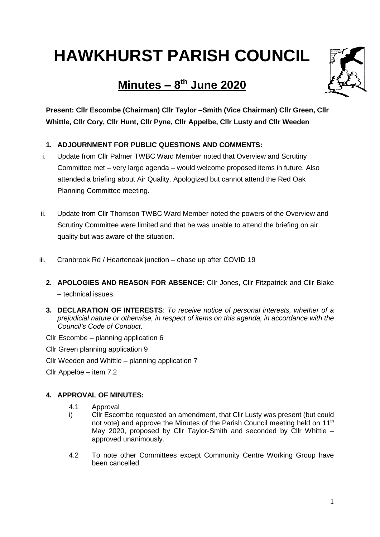# **HAWKHURST PARISH COUNCIL**

# **Minutes – 8 th June 2020**



**Present: Cllr Escombe (Chairman) Cllr Taylor –Smith (Vice Chairman) Cllr Green, Cllr Whittle, Cllr Cory, Cllr Hunt, Cllr Pyne, Cllr Appelbe, Cllr Lusty and Cllr Weeden**

# **1. ADJOURNMENT FOR PUBLIC QUESTIONS AND COMMENTS:**

- i. Update from Cllr Palmer TWBC Ward Member noted that Overview and Scrutiny Committee met – very large agenda – would welcome proposed items in future. Also attended a briefing about Air Quality. Apologized but cannot attend the Red Oak Planning Committee meeting.
- ii. Update from Cllr Thomson TWBC Ward Member noted the powers of the Overview and Scrutiny Committee were limited and that he was unable to attend the briefing on air quality but was aware of the situation.
- iii. Cranbrook Rd / Heartenoak junction chase up after COVID 19
	- **2. APOLOGIES AND REASON FOR ABSENCE:** Cllr Jones, Cllr Fitzpatrick and Cllr Blake – technical issues.
	- **3. DECLARATION OF INTERESTS**: *To receive notice of personal interests, whether of a prejudicial nature or otherwise, in respect of items on this agenda, in accordance with the Council's Code of Conduct.*
	- Cllr Escombe planning application 6
	- Cllr Green planning application 9
	- Cllr Weeden and Whittle planning application 7
	- Cllr Appelbe item 7.2

# **4. APPROVAL OF MINUTES:**

- 4.1 Approval
- i) Cllr Escombe requested an amendment, that Cllr Lusty was present (but could not vote) and approve the Minutes of the Parish Council meeting held on  $11<sup>th</sup>$ May 2020, proposed by Cllr Taylor-Smith and seconded by Cllr Whittle – approved unanimously.
- 4.2 To note other Committees except Community Centre Working Group have been cancelled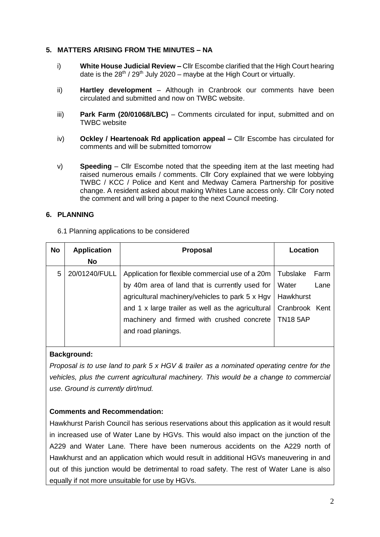## **5. MATTERS ARISING FROM THE MINUTES – NA**

- i) **White House Judicial Review –** Cllr Escombe clarified that the High Court hearing date is the  $28^{th}$  /  $29^{th}$  July 2020 – maybe at the High Court or virtually.
- ii) **Hartley development** Although in Cranbrook our comments have been circulated and submitted and now on TWBC website.
- iii) **Park Farm (20/01068/LBC)** Comments circulated for input, submitted and on TWBC website
- iv) **Ockley / Heartenoak Rd application appeal –** Cllr Escombe has circulated for comments and will be submitted tomorrow
- v) **Speeding** Cllr Escombe noted that the speeding item at the last meeting had raised numerous emails / comments. Cllr Cory explained that we were lobbying TWBC / KCC / Police and Kent and Medway Camera Partnership for positive change. A resident asked about making Whites Lane access only. Cllr Cory noted the comment and will bring a paper to the next Council meeting.

#### **6. PLANNING**

6.1 Planning applications to be considered

| <b>No</b> | <b>Application</b> | <b>Proposal</b>                                                    | Location         |
|-----------|--------------------|--------------------------------------------------------------------|------------------|
|           | No                 |                                                                    |                  |
| 5         | 20/01240/FULL      | Application for flexible commercial use of a 20m                   | Tubslake<br>Farm |
|           |                    | by 40m area of land that is currently used for                     | Water<br>Lane    |
|           |                    | agricultural machinery/vehicles to park 5 x Hgv   Hawkhurst        |                  |
|           |                    | and 1 x large trailer as well as the agricultural   Cranbrook Kent |                  |
|           |                    | machinery and firmed with crushed concrete                         | <b>TN18 5AP</b>  |
|           |                    | and road planings.                                                 |                  |
|           |                    |                                                                    |                  |

# **Background:**

*Proposal is to use land to park 5 x HGV & trailer as a nominated operating centre for the vehicles, plus the current agricultural machinery. This would be a change to commercial use. Ground is currently dirt/mud.*

# **Comments and Recommendation:**

Hawkhurst Parish Council has serious reservations about this application as it would result in increased use of Water Lane by HGVs. This would also impact on the junction of the A229 and Water Lane. There have been numerous accidents on the A229 north of Hawkhurst and an application which would result in additional HGVs maneuvering in and out of this junction would be detrimental to road safety. The rest of Water Lane is also equally if not more unsuitable for use by HGVs.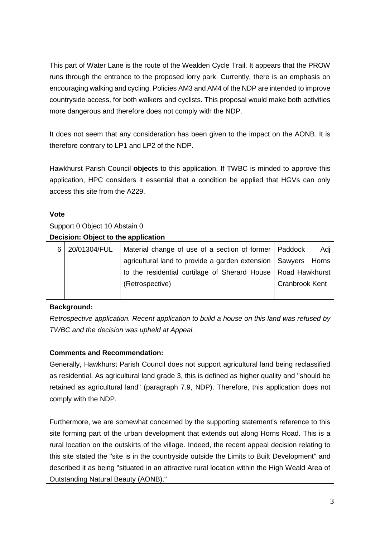This part of Water Lane is the route of the Wealden Cycle Trail. It appears that the PROW runs through the entrance to the proposed lorry park. Currently, there is an emphasis on encouraging walking and cycling. Policies AM3 and AM4 of the NDP are intended to improve countryside access, for both walkers and cyclists. This proposal would make both activities more dangerous and therefore does not comply with the NDP.

It does not seem that any consideration has been given to the impact on the AONB. It is therefore contrary to LP1 and LP2 of the NDP.

Hawkhurst Parish Council **objects** to this application. If TWBC is minded to approve this application, HPC considers it essential that a condition be applied that HGVs can only access this site from the A229.

# **Vote**

# Support 0 Object 10 Abstain 0

### **Decision: Object to the application**

| 6 | 20/01304/FUL | Material change of use of a section of former   Paddock         |                       | Adi |
|---|--------------|-----------------------------------------------------------------|-----------------------|-----|
|   |              | agricultural land to provide a garden extension   Sawyers Horns |                       |     |
|   |              | to the residential curtilage of Sherard House   Road Hawkhurst  |                       |     |
|   |              | (Retrospective)                                                 | <b>Cranbrook Kent</b> |     |
|   |              |                                                                 |                       |     |

# **Background:**

*Retrospective application. Recent application to build a house on this land was refused by TWBC and the decision was upheld at Appeal.*

# **Comments and Recommendation:**

Generally, Hawkhurst Parish Council does not support agricultural land being reclassified as residential. As agricultural land grade 3, this is defined as higher quality and "should be retained as agricultural land" (paragraph 7.9, NDP). Therefore, this application does not comply with the NDP.

Furthermore, we are somewhat concerned by the supporting statement's reference to this site forming part of the urban development that extends out along Horns Road. This is a rural location on the outskirts of the village. Indeed, the recent appeal decision relating to this site stated the "site is in the countryside outside the Limits to Built Development" and described it as being "situated in an attractive rural location within the High Weald Area of Outstanding Natural Beauty (AONB)."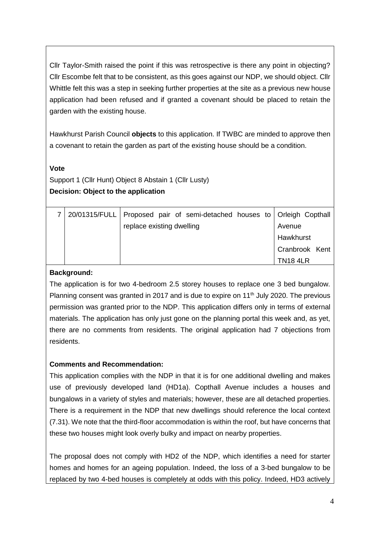Cllr Taylor-Smith raised the point if this was retrospective is there any point in objecting? Cllr Escombe felt that to be consistent, as this goes against our NDP, we should object. Cllr Whittle felt this was a step in seeking further properties at the site as a previous new house application had been refused and if granted a covenant should be placed to retain the garden with the existing house.

Hawkhurst Parish Council **objects** to this application. If TWBC are minded to approve then a covenant to retain the garden as part of the existing house should be a condition.

# **Vote**

Support 1 (Cllr Hunt) Object 8 Abstain 1 (Cllr Lusty) **Decision: Object to the application**

|  | 20/01315/FULL   Proposed pair of semi-detached houses to   Orleigh Copthall |                |
|--|-----------------------------------------------------------------------------|----------------|
|  | replace existing dwelling                                                   | Avenue         |
|  |                                                                             | Hawkhurst      |
|  |                                                                             | Cranbrook Kent |
|  |                                                                             | <b>TN184LR</b> |

# **Background:**

The application is for two 4-bedroom 2.5 storey houses to replace one 3 bed bungalow. Planning consent was granted in 2017 and is due to expire on 11<sup>th</sup> July 2020. The previous permission was granted prior to the NDP. This application differs only in terms of external materials. The application has only just gone on the planning portal this week and, as yet, there are no comments from residents. The original application had 7 objections from residents.

# **Comments and Recommendation:**

This application complies with the NDP in that it is for one additional dwelling and makes use of previously developed land (HD1a). Copthall Avenue includes a houses and bungalows in a variety of styles and materials; however, these are all detached properties. There is a requirement in the NDP that new dwellings should reference the local context (7.31). We note that the third-floor accommodation is within the roof, but have concerns that these two houses might look overly bulky and impact on nearby properties.

The proposal does not comply with HD2 of the NDP, which identifies a need for starter homes and homes for an ageing population. Indeed, the loss of a 3-bed bungalow to be replaced by two 4-bed houses is completely at odds with this policy. Indeed, HD3 actively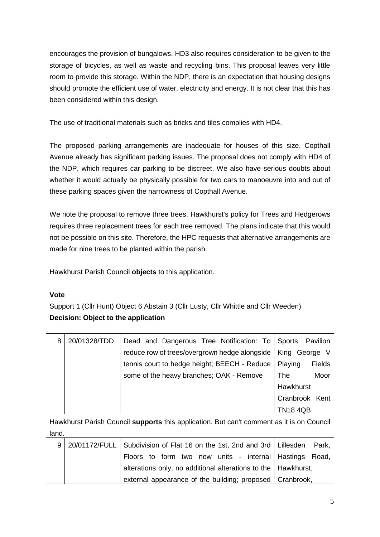encourages the provision of bungalows. HD3 also requires consideration to be given to the storage of bicycles, as well as waste and recycling bins. This proposal leaves very little room to provide this storage. Within the NDP, there is an expectation that housing designs should promote the efficient use of water, electricity and energy. It is not clear that this has been considered within this design.

The use of traditional materials such as bricks and tiles complies with HD4.

The proposed parking arrangements are inadequate for houses of this size. Copthall Avenue already has significant parking issues. The proposal does not comply with HD4 of the NDP, which requires car parking to be discreet. We also have serious doubts about whether it would actually be physically possible for two cars to manoeuvre into and out of these parking spaces given the narrowness of Copthall Avenue.

We note the proposal to remove three trees. Hawkhurst's policy for Trees and Hedgerows requires three replacement trees for each tree removed. The plans indicate that this would not be possible on this site. Therefore, the HPC requests that alternative arrangements are made for nine trees to be planted within the parish.

Hawkhurst Parish Council **objects** to this application.

# **Vote**

Support 1 (Cllr Hunt) Object 6 Abstain 3 (Cllr Lusty, Cllr Whittle and Cllr Weeden) **Decision: Object to the application**

| 8     | 20/01328/TDD  | Dead and Dangerous Tree Notification: To<br>reduce row of trees/overgrown hedge alongside | Sports Pavilion<br>King George V |
|-------|---------------|-------------------------------------------------------------------------------------------|----------------------------------|
|       |               | tennis court to hedge height; BEECH - Reduce                                              | <b>Fields</b><br>Playing         |
|       |               | some of the heavy branches; OAK - Remove                                                  | Moor<br>The                      |
|       |               |                                                                                           | Hawkhurst                        |
|       |               |                                                                                           | Cranbrook Kent                   |
|       |               |                                                                                           | <b>TN18 4QB</b>                  |
|       |               | Hawkhurst Parish Council supports this application. But can't comment as it is on Council |                                  |
| land. |               |                                                                                           |                                  |
| 9     | 20/01172/FULL | Subdivision of Flat 16 on the 1st, 2nd and 3rd                                            | Lillesden<br>Park,               |
|       |               | Floors to form two new units - internal                                                   | Hastings<br>Road,                |
|       |               | alterations only, no additional alterations to the                                        | Hawkhurst,                       |
|       |               | external appearance of the building; proposed                                             | Cranbrook,                       |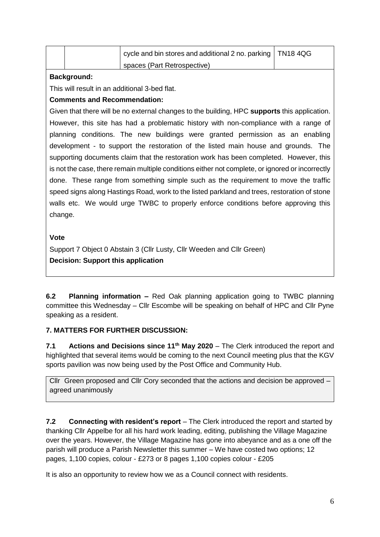|  | cycle and bin stores and additional 2 no. parking   TN18 4QG |  |
|--|--------------------------------------------------------------|--|
|  | spaces (Part Retrospective)                                  |  |

# **Background:**

This will result in an additional 3-bed flat.

# **Comments and Recommendation:**

Given that there will be no external changes to the building, HPC **supports** this application. However, this site has had a problematic history with non-compliance with a range of planning conditions. The new buildings were granted permission as an enabling development - to support the restoration of the listed main house and grounds. The supporting documents claim that the restoration work has been completed. However, this is not the case, there remain multiple conditions either not complete, or ignored or incorrectly done. These range from something simple such as the requirement to move the traffic speed signs along Hastings Road, work to the listed parkland and trees, restoration of stone walls etc. We would urge TWBC to properly enforce conditions before approving this change.

### **Vote**

Support 7 Object 0 Abstain 3 (Cllr Lusty, Cllr Weeden and Cllr Green) **Decision: Support this application**

**6.2 Planning information –** Red Oak planning application going to TWBC planning committee this Wednesday – Cllr Escombe will be speaking on behalf of HPC and Cllr Pyne speaking as a resident.

# **7. MATTERS FOR FURTHER DISCUSSION:**

**7.1 Actions and Decisions since 11th May 2020** – The Clerk introduced the report and highlighted that several items would be coming to the next Council meeting plus that the KGV sports pavilion was now being used by the Post Office and Community Hub.

Cllr Green proposed and Cllr Cory seconded that the actions and decision be approved – agreed unanimously

**7.2 Connecting with resident's report** – The Clerk introduced the report and started by thanking Cllr Appelbe for all his hard work leading, editing, publishing the Village Magazine over the years. However, the Village Magazine has gone into abeyance and as a one off the parish will produce a Parish Newsletter this summer – We have costed two options; 12 pages, 1,100 copies, colour - £273 or 8 pages 1,100 copies colour - £205

It is also an opportunity to review how we as a Council connect with residents.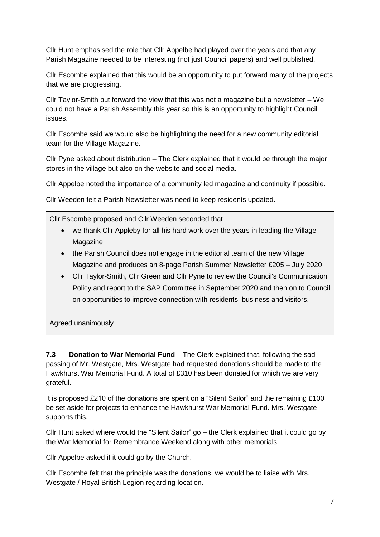Cllr Hunt emphasised the role that Cllr Appelbe had played over the years and that any Parish Magazine needed to be interesting (not just Council papers) and well published.

Cllr Escombe explained that this would be an opportunity to put forward many of the projects that we are progressing.

Cllr Taylor-Smith put forward the view that this was not a magazine but a newsletter – We could not have a Parish Assembly this year so this is an opportunity to highlight Council issues.

Cllr Escombe said we would also be highlighting the need for a new community editorial team for the Village Magazine.

Cllr Pyne asked about distribution – The Clerk explained that it would be through the major stores in the village but also on the website and social media.

Cllr Appelbe noted the importance of a community led magazine and continuity if possible.

Cllr Weeden felt a Parish Newsletter was need to keep residents updated.

Cllr Escombe proposed and Cllr Weeden seconded that

- we thank Cllr Appleby for all his hard work over the years in leading the Village Magazine
- the Parish Council does not engage in the editorial team of the new Village Magazine and produces an 8-page Parish Summer Newsletter £205 – July 2020
- Cllr Taylor-Smith, Cllr Green and Cllr Pyne to review the Council's Communication Policy and report to the SAP Committee in September 2020 and then on to Council on opportunities to improve connection with residents, business and visitors.

Agreed unanimously

**7.3 Donation to War Memorial Fund** – The Clerk explained that, following the sad passing of Mr. Westgate, Mrs. Westgate had requested donations should be made to the Hawkhurst War Memorial Fund. A total of £310 has been donated for which we are very grateful.

It is proposed £210 of the donations are spent on a "Silent Sailor" and the remaining £100 be set aside for projects to enhance the Hawkhurst War Memorial Fund. Mrs. Westgate supports this.

Cllr Hunt asked where would the "Silent Sailor" go – the Clerk explained that it could go by the War Memorial for Remembrance Weekend along with other memorials

Cllr Appelbe asked if it could go by the Church.

Cllr Escombe felt that the principle was the donations, we would be to liaise with Mrs. Westgate / Royal British Legion regarding location.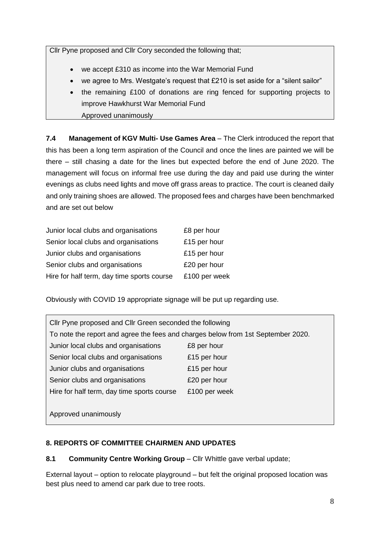Cllr Pyne proposed and Cllr Cory seconded the following that;

- we accept £310 as income into the War Memorial Fund
- we agree to Mrs. Westgate's request that  $£210$  is set aside for a "silent sailor"
- the remaining £100 of donations are ring fenced for supporting projects to improve Hawkhurst War Memorial Fund Approved unanimously

**7.4 Management of KGV Multi- Use Games Area** – The Clerk introduced the report that this has been a long term aspiration of the Council and once the lines are painted we will be there – still chasing a date for the lines but expected before the end of June 2020. The management will focus on informal free use during the day and paid use during the winter evenings as clubs need lights and move off grass areas to practice. The court is cleaned daily and only training shoes are allowed. The proposed fees and charges have been benchmarked and are set out below

| Junior local clubs and organisations       | £8 per hour   |
|--------------------------------------------|---------------|
| Senior local clubs and organisations       | £15 per hour  |
| Junior clubs and organisations             | £15 per hour  |
| Senior clubs and organisations             | £20 per hour  |
| Hire for half term, day time sports course | £100 per week |

Obviously with COVID 19 appropriate signage will be put up regarding use.

| Cllr Pyne proposed and Cllr Green seconded the following                         |               |  |  |
|----------------------------------------------------------------------------------|---------------|--|--|
| To note the report and agree the fees and charges below from 1st September 2020. |               |  |  |
| Junior local clubs and organisations                                             | £8 per hour   |  |  |
| Senior local clubs and organisations                                             | £15 per hour  |  |  |
| Junior clubs and organisations                                                   | £15 per hour  |  |  |
| Senior clubs and organisations                                                   | £20 per hour  |  |  |
| Hire for half term, day time sports course                                       | £100 per week |  |  |
|                                                                                  |               |  |  |
| Approved unanimously                                                             |               |  |  |

# **8. REPORTS OF COMMITTEE CHAIRMEN AND UPDATES**

# **8.1 Community Centre Working Group** – Cllr Whittle gave verbal update;

External layout – option to relocate playground – but felt the original proposed location was best plus need to amend car park due to tree roots.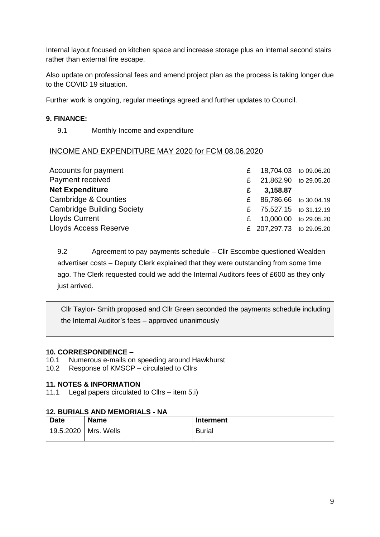Internal layout focused on kitchen space and increase storage plus an internal second stairs rather than external fire escape.

Also update on professional fees and amend project plan as the process is taking longer due to the COVID 19 situation.

Further work is ongoing, regular meetings agreed and further updates to Council.

#### **9. FINANCE:**

9.1 Monthly Income and expenditure

### INCOME AND EXPENDITURE MAY 2020 for FCM 08.06.2020

| Accounts for payment              |   | £ 18,704.03 to 09.06.20  |  |
|-----------------------------------|---|--------------------------|--|
| Payment received                  |   | £ 21,862.90 to 29.05.20  |  |
| <b>Net Expenditure</b>            | £ | 3,158.87                 |  |
| Cambridge & Counties              | £ | 86,786.66 to 30.04.19    |  |
| <b>Cambridge Building Society</b> |   | £ 75,527.15 to 31.12.19  |  |
| <b>Lloyds Current</b>             | £ | 10,000.00 to 29.05.20    |  |
| <b>Lloyds Access Reserve</b>      |   | £ 207,297.73 to 29.05.20 |  |

9.2 Agreement to pay payments schedule – Cllr Escombe questioned Wealden advertiser costs – Deputy Clerk explained that they were outstanding from some time ago. The Clerk requested could we add the Internal Auditors fees of £600 as they only just arrived.

Cllr Taylor- Smith proposed and Cllr Green seconded the payments schedule including the Internal Auditor's fees – approved unanimously

#### **10. CORRESPONDENCE –**

- 10.1 Numerous e-mails on speeding around Hawkhurst
- 10.2 Response of KMSCP circulated to Cllrs

#### **11. NOTES & INFORMATION**

11.1 Legal papers circulated to Cllrs – item 5.i)

#### **12. BURIALS AND MEMORIALS - NA**

| <b>Date</b> | <b>Name</b> | <b>Interment</b> |
|-------------|-------------|------------------|
| 19.5.2020   | Mrs. Wells  | <b>Burial</b>    |